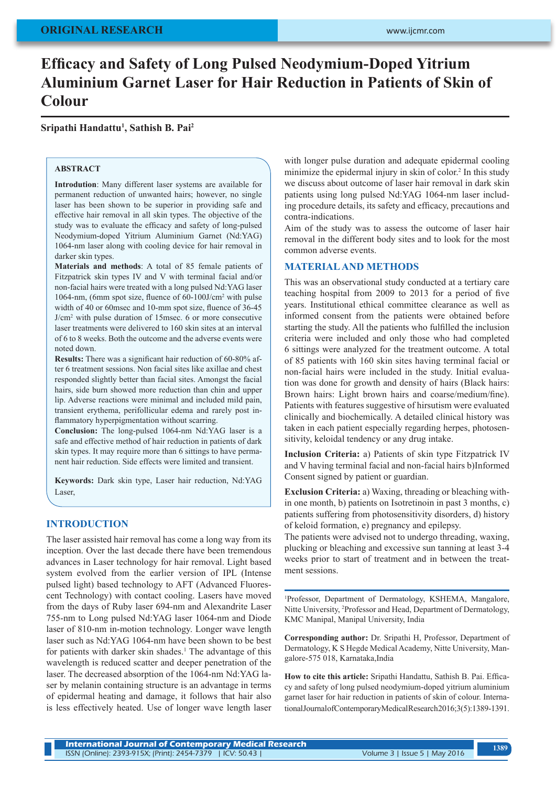# **Efficacy and Safety of Long Pulsed Neodymium-Doped Yitrium Aluminium Garnet Laser for Hair Reduction in Patients of Skin of Colour**

**Sripathi Handattu<sup>1</sup> , Sathish B. Pai<sup>2</sup>**

## **ABSTRACT**

**Introdution**: Many different laser systems are available for permanent reduction of unwanted hairs; however, no single laser has been shown to be superior in providing safe and effective hair removal in all skin types. The objective of the study was to evaluate the efficacy and safety of long-pulsed Neodymium-doped Yitrium Aluminium Garnet (Nd:YAG) 1064-nm laser along with cooling device for hair removal in darker skin types.

**Materials and methods**: A total of 85 female patients of Fitzpatrick skin types IV and V with terminal facial and/or non-facial hairs were treated with a long pulsed Nd:YAG laser 1064-nm, (6mm spot size, fluence of 60-100J/cm<sup>2</sup> with pulse width of 40 or 60msec and 10-mm spot size, fluence of 36-45 J/cm<sup>2</sup> with pulse duration of 15msec. 6 or more consecutive laser treatments were delivered to 160 skin sites at an interval of 6 to 8 weeks. Both the outcome and the adverse events were noted down.

**Results:** There was a significant hair reduction of 60-80% after 6 treatment sessions. Non facial sites like axillae and chest responded slightly better than facial sites. Amongst the facial hairs, side burn showed more reduction than chin and upper lip. Adverse reactions were minimal and included mild pain, transient erythema, perifollicular edema and rarely post inflammatory hyperpigmentation without scarring.

**Conclusion:** The long-pulsed 1064-nm Nd:YAG laser is a safe and effective method of hair reduction in patients of dark skin types. It may require more than 6 sittings to have permanent hair reduction. Side effects were limited and transient.

**Keywords:** Dark skin type, Laser hair reduction, Nd:YAG Laser,

#### **INTRODUCTION**

The laser assisted hair removal has come a long way from its inception. Over the last decade there have been tremendous advances in Laser technology for hair removal. Light based system evolved from the earlier version of IPL (Intense pulsed light) based technology to AFT (Advanced Fluorescent Technology) with contact cooling. Lasers have moved from the days of Ruby laser 694-nm and Alexandrite Laser 755-nm to Long pulsed Nd:YAG laser 1064-nm and Diode laser of 810-nm in-motion technology. Longer wave length laser such as Nd:YAG 1064-nm have been shown to be best for patients with darker skin shades.<sup>1</sup> The advantage of this wavelength is reduced scatter and deeper penetration of the laser. The decreased absorption of the 1064-nm Nd:YAG laser by melanin containing structure is an advantage in terms of epidermal heating and damage, it follows that hair also is less effectively heated. Use of longer wave length laser

with longer pulse duration and adequate epidermal cooling minimize the epidermal injury in skin of color.<sup>2</sup> In this study we discuss about outcome of laser hair removal in dark skin patients using long pulsed Nd:YAG 1064-nm laser including procedure details, its safety and efficacy, precautions and contra-indications.

Aim of the study was to assess the outcome of laser hair removal in the different body sites and to look for the most common adverse events.

#### **MATERIAL AND METHODS**

This was an observational study conducted at a tertiary care teaching hospital from 2009 to 2013 for a period of five years. Institutional ethical committee clearance as well as informed consent from the patients were obtained before starting the study. All the patients who fulfilled the inclusion criteria were included and only those who had completed 6 sittings were analyzed for the treatment outcome. A total of 85 patients with 160 skin sites having terminal facial or non-facial hairs were included in the study. Initial evaluation was done for growth and density of hairs (Black hairs: Brown hairs: Light brown hairs and coarse/medium/fine). Patients with features suggestive of hirsutism were evaluated clinically and biochemically. A detailed clinical history was taken in each patient especially regarding herpes, photosensitivity, keloidal tendency or any drug intake.

**Inclusion Criteria:** a) Patients of skin type Fitzpatrick IV and V having terminal facial and non-facial hairs b)Informed Consent signed by patient or guardian.

**Exclusion Criteria:** a) Waxing, threading or bleaching within one month, b) patients on Isotretinoin in past 3 months, c) patients suffering from photosensitivity disorders, d) history of keloid formation, e) pregnancy and epilepsy.

The patients were advised not to undergo threading, waxing, plucking or bleaching and excessive sun tanning at least 3-4 weeks prior to start of treatment and in between the treatment sessions.

1 Professor, Department of Dermatology, KSHEMA, Mangalore, Nitte University, 2 Professor and Head, Department of Dermatology, KMC Manipal, Manipal University, India

**Corresponding author:** Dr. Sripathi H, Professor, Department of Dermatology, K S Hegde Medical Academy, Nitte University, Mangalore-575 018, Karnataka,India

**How to cite this article:** Sripathi Handattu, Sathish B. Pai. Efficacy and safety of long pulsed neodymium-doped yitrium aluminium garnet laser for hair reduction in patients of skin of colour. International Journal of Contemporary Medical Research 2016;3(5):1389-1391.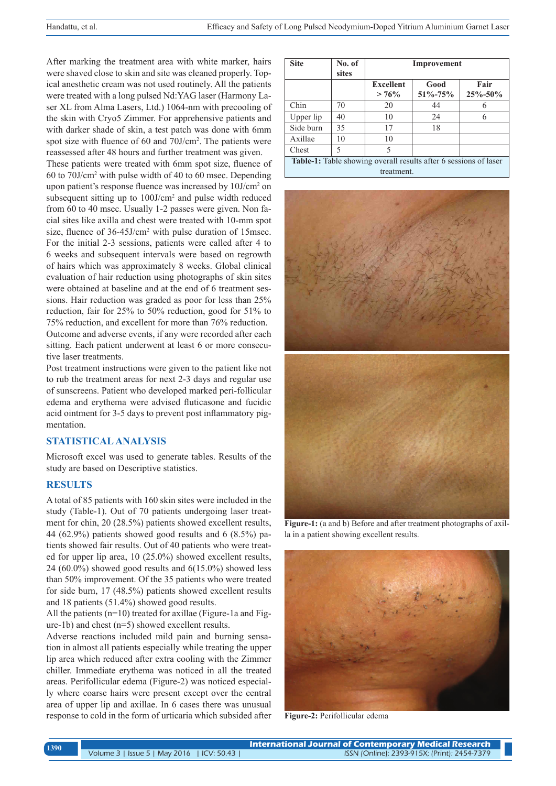After marking the treatment area with white marker, hairs were shaved close to skin and site was cleaned properly. Topical anesthetic cream was not used routinely. All the patients were treated with a long pulsed Nd:YAG laser (Harmony Laser XL from Alma Lasers, Ltd.) 1064-nm with precooling of the skin with Cryo5 Zimmer. For apprehensive patients and with darker shade of skin, a test patch was done with 6mm spot size with fluence of 60 and 70J/cm<sup>2</sup>. The patients were reassessed after 48 hours and further treatment was given.

These patients were treated with 6mm spot size, fluence of 60 to 70J/cm<sup>2</sup> with pulse width of 40 to 60 msec. Depending upon patient's response fluence was increased by 10J/cm<sup>2</sup> on subsequent sitting up to  $100$ J/cm<sup>2</sup> and pulse width reduced from 60 to 40 msec. Usually 1-2 passes were given. Non facial sites like axilla and chest were treated with 10-mm spot size, fluence of 36-45J/cm<sup>2</sup> with pulse duration of 15msec. For the initial 2-3 sessions, patients were called after 4 to 6 weeks and subsequent intervals were based on regrowth of hairs which was approximately 8 weeks. Global clinical evaluation of hair reduction using photographs of skin sites were obtained at baseline and at the end of 6 treatment sessions. Hair reduction was graded as poor for less than 25% reduction, fair for 25% to 50% reduction, good for 51% to 75% reduction, and excellent for more than 76% reduction. Outcome and adverse events, if any were recorded after each sitting. Each patient underwent at least 6 or more consecutive laser treatments.

Post treatment instructions were given to the patient like not to rub the treatment areas for next 2-3 days and regular use of sunscreens. Patient who developed marked peri-follicular edema and erythema were advised fluticasone and fucidic acid ointment for 3-5 days to prevent post inflammatory pigmentation.

# **STATISTICAL ANALYSIS**

Microsoft excel was used to generate tables. Results of the study are based on Descriptive statistics.

#### **RESULTS**

A total of 85 patients with 160 skin sites were included in the study (Table-1). Out of 70 patients undergoing laser treatment for chin, 20 (28.5%) patients showed excellent results, 44 (62.9%) patients showed good results and 6 (8.5%) patients showed fair results. Out of 40 patients who were treated for upper lip area, 10 (25.0%) showed excellent results, 24  $(60.0\%)$  showed good results and  $6(15.0\%)$  showed less than 50% improvement. Of the 35 patients who were treated for side burn, 17 (48.5%) patients showed excellent results and 18 patients (51.4%) showed good results.

All the patients (n=10) treated for axillae (Figure-1a and Figure-1b) and chest (n=5) showed excellent results.

Adverse reactions included mild pain and burning sensation in almost all patients especially while treating the upper lip area which reduced after extra cooling with the Zimmer chiller. Immediate erythema was noticed in all the treated areas. Perifollicular edema (Figure-2) was noticed especially where coarse hairs were present except over the central area of upper lip and axillae. In 6 cases there was unusual response to cold in the form of urticaria which subsided after

| <b>Site</b>                                                                    | No. of<br>sites | Improvement                  |                       |                       |
|--------------------------------------------------------------------------------|-----------------|------------------------------|-----------------------|-----------------------|
|                                                                                |                 | <b>Excellent</b><br>$> 76\%$ | Good<br>$51\% - 75\%$ | Fair<br>$25\% - 50\%$ |
| Chin                                                                           | 70              | 20                           | 44                    | 6                     |
| Upper lip                                                                      | 40              | 10                           | 24                    | 6                     |
| Side burn                                                                      | 35              | 17                           | 18                    |                       |
| Axillae                                                                        | 10              | 10                           |                       |                       |
| Chest                                                                          | 5               | 5                            |                       |                       |
| Table-1: Table showing overall results after 6 sessions of laser<br>treatment. |                 |                              |                       |                       |





**Figure-1:** (a and b) Before and after treatment photographs of axilla in a patient showing excellent results.



**Figure-2:** Perifollicular edema